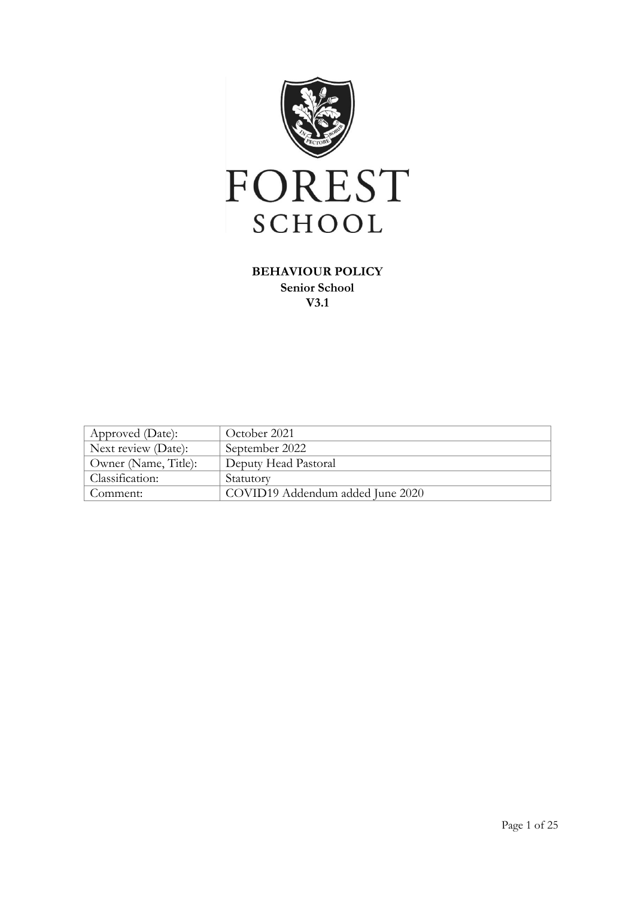

## **BEHAVIOUR POLICY Senior School V3.1**

| Approved (Date):     | October 2021                     |
|----------------------|----------------------------------|
| Next review (Date):  | September 2022                   |
| Owner (Name, Title): | Deputy Head Pastoral             |
| Classification:      | Statutory                        |
| Comment:             | COVID19 Addendum added June 2020 |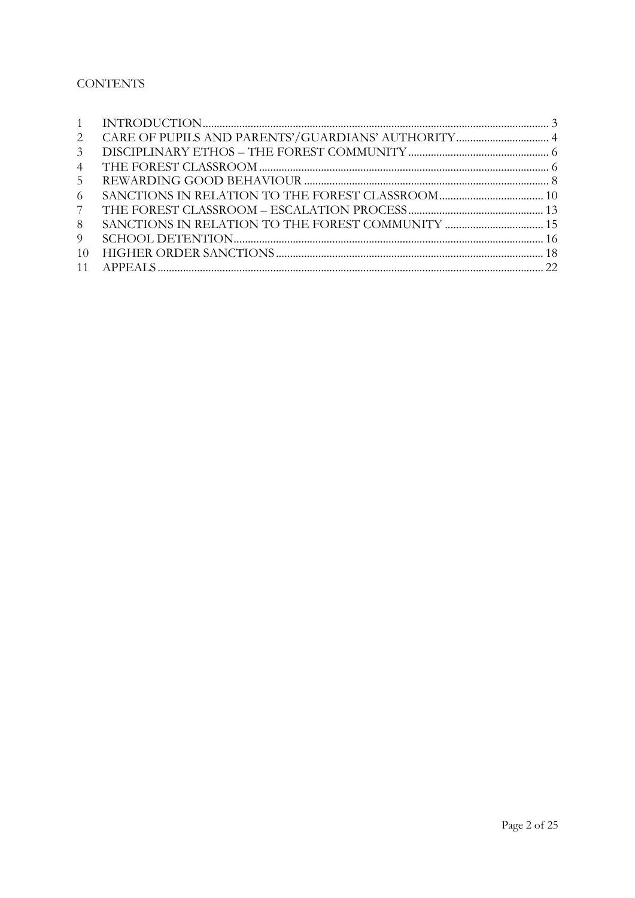# **CONTENTS**

| 2              |                                                   |  |
|----------------|---------------------------------------------------|--|
| $\mathcal{E}$  |                                                   |  |
| 4              |                                                   |  |
| 5 <sup>1</sup> |                                                   |  |
| 6              |                                                   |  |
| 7 <sup>7</sup> |                                                   |  |
| 8              | SANCTIONS IN RELATION TO THE FOREST COMMUNITY  15 |  |
| 9              |                                                   |  |
| 10             |                                                   |  |
|                |                                                   |  |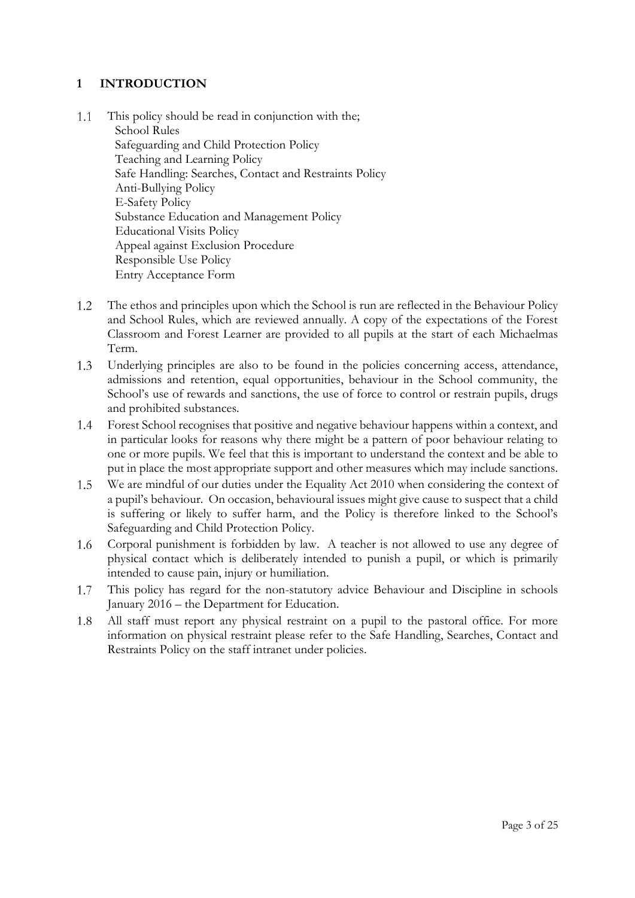## <span id="page-2-0"></span>**1 INTRODUCTION**

- $1.1$ This policy should be read in conjunction with the; School Rules Safeguarding and Child Protection Policy Teaching and Learning Policy Safe Handling: Searches, Contact and Restraints Policy Anti-Bullying Policy E-Safety Policy Substance Education and Management Policy Educational Visits Policy Appeal against Exclusion Procedure Responsible Use Policy Entry Acceptance Form
- 1.2 The ethos and principles upon which the School is run are reflected in the Behaviour Policy and School Rules, which are reviewed annually. A copy of the expectations of the Forest Classroom and Forest Learner are provided to all pupils at the start of each Michaelmas Term.
- 1.3 Underlying principles are also to be found in the policies concerning access, attendance, admissions and retention, equal opportunities, behaviour in the School community, the School's use of rewards and sanctions, the use of force to control or restrain pupils, drugs and prohibited substances.
- 1.4 Forest School recognises that positive and negative behaviour happens within a context, and in particular looks for reasons why there might be a pattern of poor behaviour relating to one or more pupils. We feel that this is important to understand the context and be able to put in place the most appropriate support and other measures which may include sanctions.
- We are mindful of our duties under the Equality Act 2010 when considering the context of  $1.5$ a pupil's behaviour. On occasion, behavioural issues might give cause to suspect that a child is suffering or likely to suffer harm, and the Policy is therefore linked to the School's Safeguarding and Child Protection Policy.
- Corporal punishment is forbidden by law. A teacher is not allowed to use any degree of  $1.6$ physical contact which is deliberately intended to punish a pupil, or which is primarily intended to cause pain, injury or humiliation.
- This policy has regard for the non-statutory advice Behaviour and Discipline in schools 1.7 January 2016 – the Department for Education.
- 1.8 All staff must report any physical restraint on a pupil to the pastoral office. For more information on physical restraint please refer to the Safe Handling, Searches, Contact and Restraints Policy on the staff intranet under policies.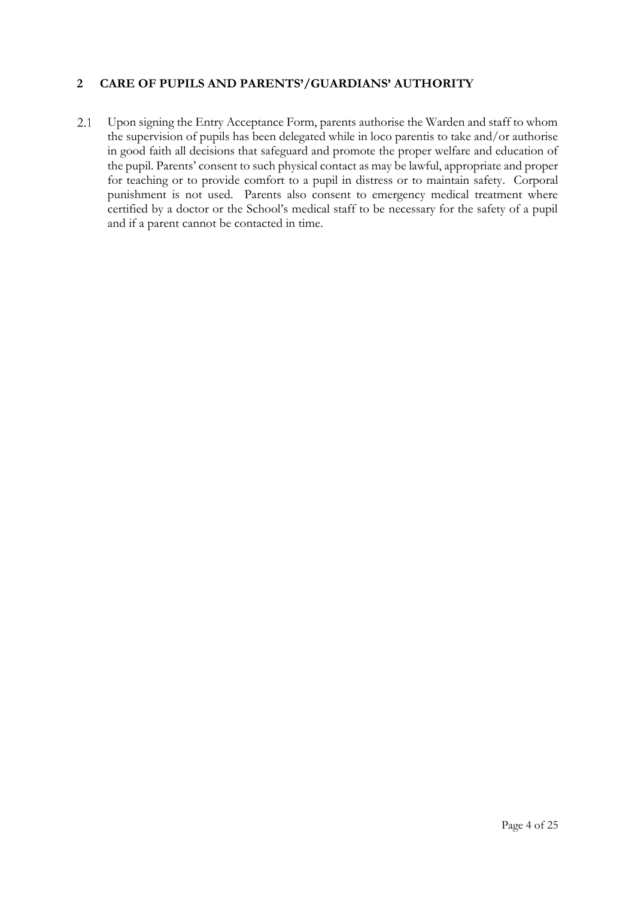## <span id="page-3-0"></span>**2 CARE OF PUPILS AND PARENTS'/GUARDIANS' AUTHORITY**

2.1 Upon signing the Entry Acceptance Form, parents authorise the Warden and staff to whom the supervision of pupils has been delegated while in loco parentis to take and/or authorise in good faith all decisions that safeguard and promote the proper welfare and education of the pupil. Parents' consent to such physical contact as may be lawful, appropriate and proper for teaching or to provide comfort to a pupil in distress or to maintain safety. Corporal punishment is not used. Parents also consent to emergency medical treatment where certified by a doctor or the School's medical staff to be necessary for the safety of a pupil and if a parent cannot be contacted in time.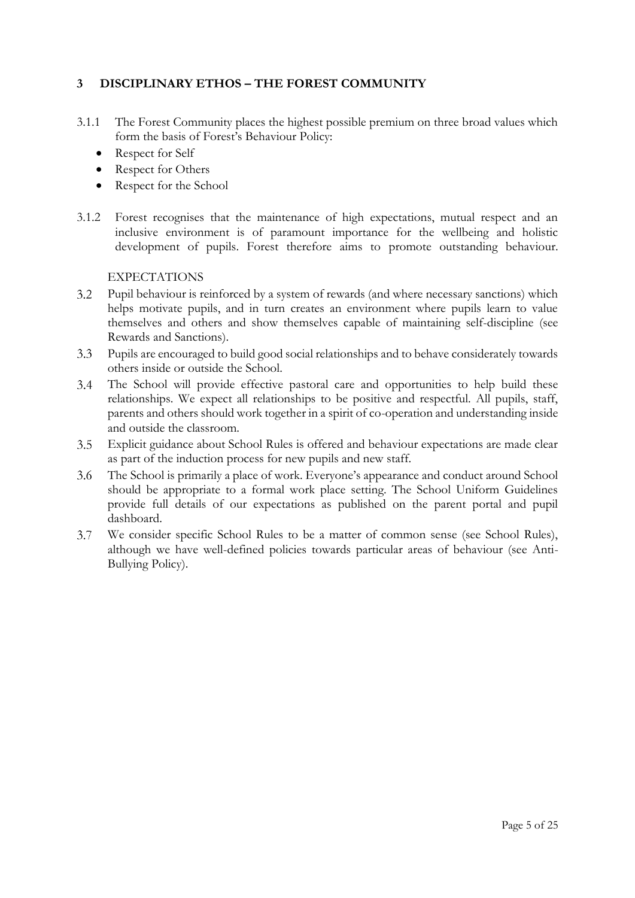## **3 DISCIPLINARY ETHOS – THE FOREST COMMUNITY**

- 3.1.1 The Forest Community places the highest possible premium on three broad values which form the basis of Forest's Behaviour Policy:
	- Respect for Self
	- Respect for Others
	- Respect for the School
- 3.1.2 Forest recognises that the maintenance of high expectations, mutual respect and an inclusive environment is of paramount importance for the wellbeing and holistic development of pupils. Forest therefore aims to promote outstanding behaviour.

### EXPECTATIONS

- $3.2$ Pupil behaviour is reinforced by a system of rewards (and where necessary sanctions) which helps motivate pupils, and in turn creates an environment where pupils learn to value themselves and others and show themselves capable of maintaining self-discipline (see Rewards and Sanctions).
- Pupils are encouraged to build good social relationships and to behave considerately towards  $3.3$ others inside or outside the School.
- $3.4$ The School will provide effective pastoral care and opportunities to help build these relationships. We expect all relationships to be positive and respectful. All pupils, staff, parents and others should work together in a spirit of co-operation and understanding inside and outside the classroom.
- Explicit guidance about School Rules is offered and behaviour expectations are made clear  $3.5$ as part of the induction process for new pupils and new staff.
- The School is primarily a place of work. Everyone's appearance and conduct around School  $3.6$ should be appropriate to a formal work place setting. The School Uniform Guidelines provide full details of our expectations as published on the parent portal and pupil dashboard.
- We consider specific School Rules to be a matter of common sense (see School Rules),  $3.7$ although we have well-defined policies towards particular areas of behaviour (see Anti-Bullying Policy).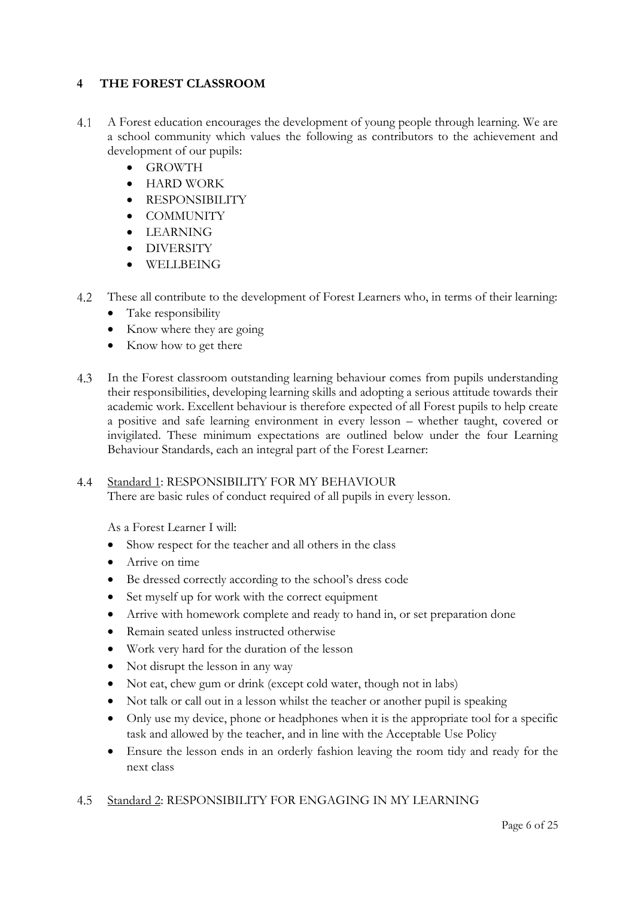## <span id="page-5-0"></span>**4 THE FOREST CLASSROOM**

- A Forest education encourages the development of young people through learning. We are 4.1 a school community which values the following as contributors to the achievement and development of our pupils:
	- GROWTH
	- HARD WORK
	- RESPONSIBILITY
	- COMMUNITY
	- LEARNING
	- DIVERSITY
	- WELLBEING
- $4.2$ These all contribute to the development of Forest Learners who, in terms of their learning:
	- Take responsibility
	- Know where they are going
	- Know how to get there
- $4.3$ In the Forest classroom outstanding learning behaviour comes from pupils understanding their responsibilities, developing learning skills and adopting a serious attitude towards their academic work. Excellent behaviour is therefore expected of all Forest pupils to help create a positive and safe learning environment in every lesson – whether taught, covered or invigilated. These minimum expectations are outlined below under the four Learning Behaviour Standards, each an integral part of the Forest Learner:

#### $4.4$ Standard 1: RESPONSIBILITY FOR MY BEHAVIOUR

There are basic rules of conduct required of all pupils in every lesson.

As a Forest Learner I will:

- Show respect for the teacher and all others in the class
- Arrive on time
- Be dressed correctly according to the school's dress code
- Set myself up for work with the correct equipment
- Arrive with homework complete and ready to hand in, or set preparation done
- Remain seated unless instructed otherwise
- Work very hard for the duration of the lesson
- Not disrupt the lesson in any way
- Not eat, chew gum or drink (except cold water, though not in labs)
- Not talk or call out in a lesson whilst the teacher or another pupil is speaking
- Only use my device, phone or headphones when it is the appropriate tool for a specific task and allowed by the teacher, and in line with the Acceptable Use Policy
- Ensure the lesson ends in an orderly fashion leaving the room tidy and ready for the next class

#### Standard 2: RESPONSIBILITY FOR ENGAGING IN MY LEARNING4.5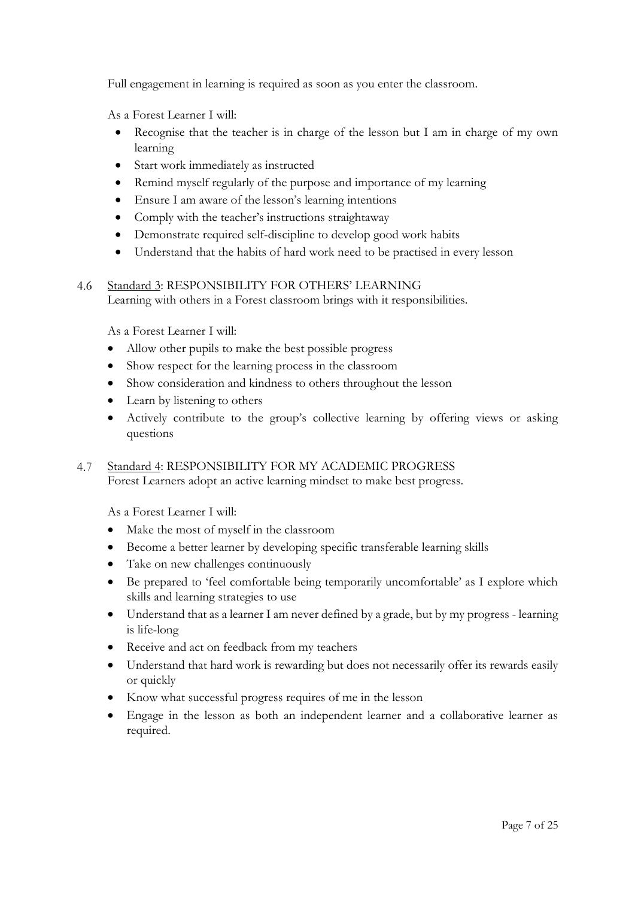Full engagement in learning is required as soon as you enter the classroom.

As a Forest Learner I will:

- Recognise that the teacher is in charge of the lesson but I am in charge of my own learning
- Start work immediately as instructed
- Remind myself regularly of the purpose and importance of my learning
- Ensure I am aware of the lesson's learning intentions
- Comply with the teacher's instructions straightaway
- Demonstrate required self-discipline to develop good work habits
- Understand that the habits of hard work need to be practised in every lesson

#### Standard 3: RESPONSIBILITY FOR OTHERS' LEARNING  $4.6$

Learning with others in a Forest classroom brings with it responsibilities.

As a Forest Learner I will:

- Allow other pupils to make the best possible progress
- Show respect for the learning process in the classroom
- Show consideration and kindness to others throughout the lesson
- Learn by listening to others
- Actively contribute to the group's collective learning by offering views or asking questions
- 4.7 Standard 4: RESPONSIBILITY FOR MY ACADEMIC PROGRESS Forest Learners adopt an active learning mindset to make best progress.

As a Forest Learner I will:

- Make the most of myself in the classroom
- Become a better learner by developing specific transferable learning skills
- Take on new challenges continuously
- Be prepared to 'feel comfortable being temporarily uncomfortable' as I explore which skills and learning strategies to use
- Understand that as a learner I am never defined by a grade, but by my progress learning is life-long
- Receive and act on feedback from my teachers
- Understand that hard work is rewarding but does not necessarily offer its rewards easily or quickly
- Know what successful progress requires of me in the lesson
- Engage in the lesson as both an independent learner and a collaborative learner as required.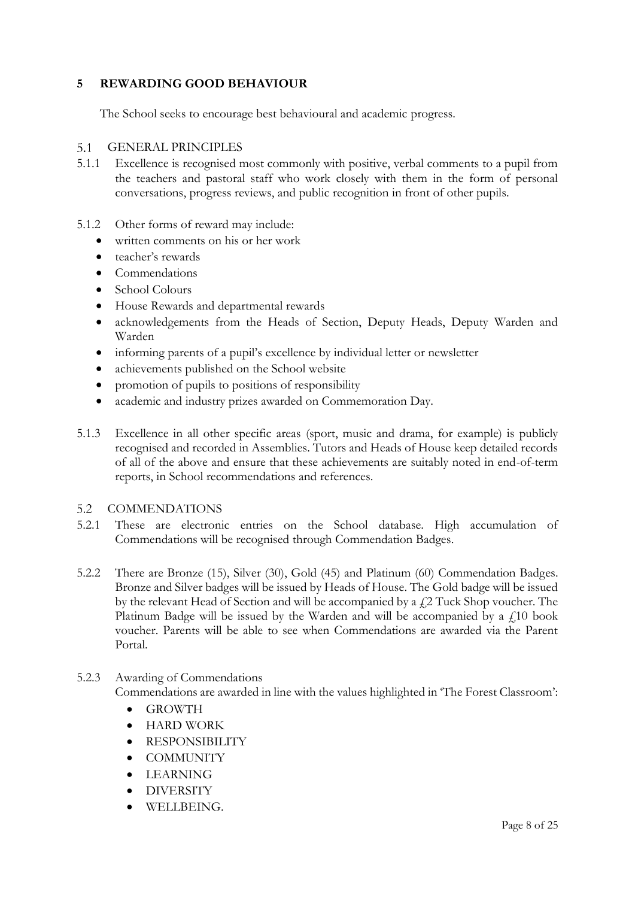## <span id="page-7-0"></span>**5 REWARDING GOOD BEHAVIOUR**

The School seeks to encourage best behavioural and academic progress.

#### $5.1$ GENERAL PRINCIPLES

- 5.1.1 Excellence is recognised most commonly with positive, verbal comments to a pupil from the teachers and pastoral staff who work closely with them in the form of personal conversations, progress reviews, and public recognition in front of other pupils.
- 5.1.2 Other forms of reward may include:
	- written comments on his or her work
	- teacher's rewards
	- Commendations
	- School Colours
	- House Rewards and departmental rewards
	- acknowledgements from the Heads of Section, Deputy Heads, Deputy Warden and Warden
	- informing parents of a pupil's excellence by individual letter or newsletter
	- achievements published on the School website
	- promotion of pupils to positions of responsibility
	- academic and industry prizes awarded on Commemoration Day.
- 5.1.3 Excellence in all other specific areas (sport, music and drama, for example) is publicly recognised and recorded in Assemblies. Tutors and Heads of House keep detailed records of all of the above and ensure that these achievements are suitably noted in end-of-term reports, in School recommendations and references.

#### $5.2$ COMMENDATIONS

- 5.2.1 These are electronic entries on the School database. High accumulation of Commendations will be recognised through Commendation Badges.
- 5.2.2 There are Bronze (15), Silver (30), Gold (45) and Platinum (60) Commendation Badges. Bronze and Silver badges will be issued by Heads of House. The Gold badge will be issued by the relevant Head of Section and will be accompanied by a  $\ell$  2 Tuck Shop voucher. The Platinum Badge will be issued by the Warden and will be accompanied by a  $f<sub>10</sub>$  book voucher. Parents will be able to see when Commendations are awarded via the Parent Portal.

### 5.2.3 Awarding of Commendations

Commendations are awarded in line with the values highlighted in 'The Forest Classroom':

- GROWTH
- HARD WORK
- RESPONSIBILITY
- COMMUNITY
- LEARNING
- DIVERSITY
- WELLBEING.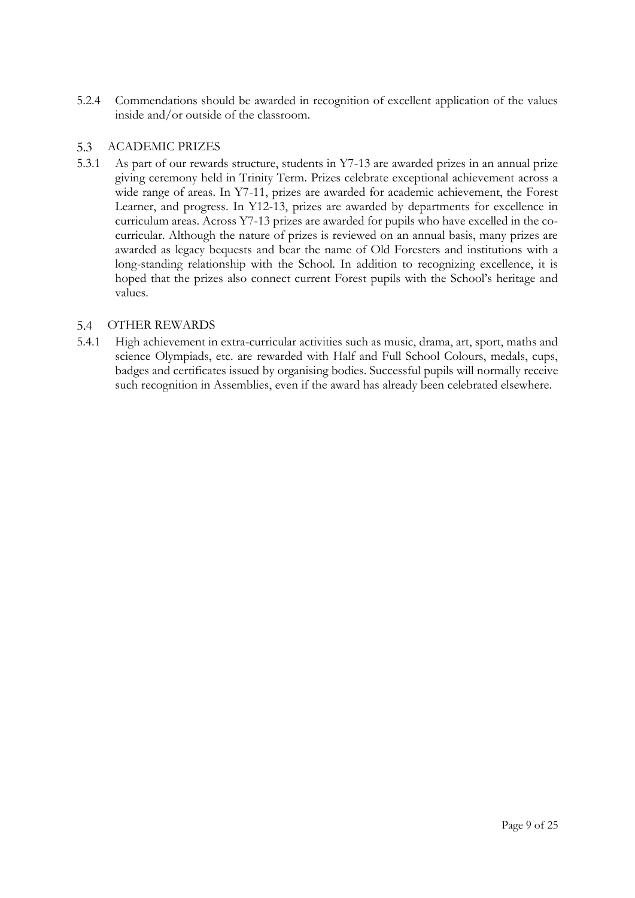5.2.4 Commendations should be awarded in recognition of excellent application of the values inside and/or outside of the classroom.

#### $5.3$ ACADEMIC PRIZES

5.3.1 As part of our rewards structure, students in Y7-13 are awarded prizes in an annual prize giving ceremony held in Trinity Term. Prizes celebrate exceptional achievement across a wide range of areas. In Y7-11, prizes are awarded for academic achievement, the Forest Learner, and progress. In Y12-13, prizes are awarded by departments for excellence in curriculum areas. Across Y7-13 prizes are awarded for pupils who have excelled in the cocurricular. Although the nature of prizes is reviewed on an annual basis, many prizes are awarded as legacy bequests and bear the name of Old Foresters and institutions with a long-standing relationship with the School. In addition to recognizing excellence, it is hoped that the prizes also connect current Forest pupils with the School's heritage and values.

#### $5.4$ OTHER REWARDS

5.4.1 High achievement in extra-curricular activities such as music, drama, art, sport, maths and science Olympiads, etc. are rewarded with Half and Full School Colours, medals, cups, badges and certificates issued by organising bodies. Successful pupils will normally receive such recognition in Assemblies, even if the award has already been celebrated elsewhere.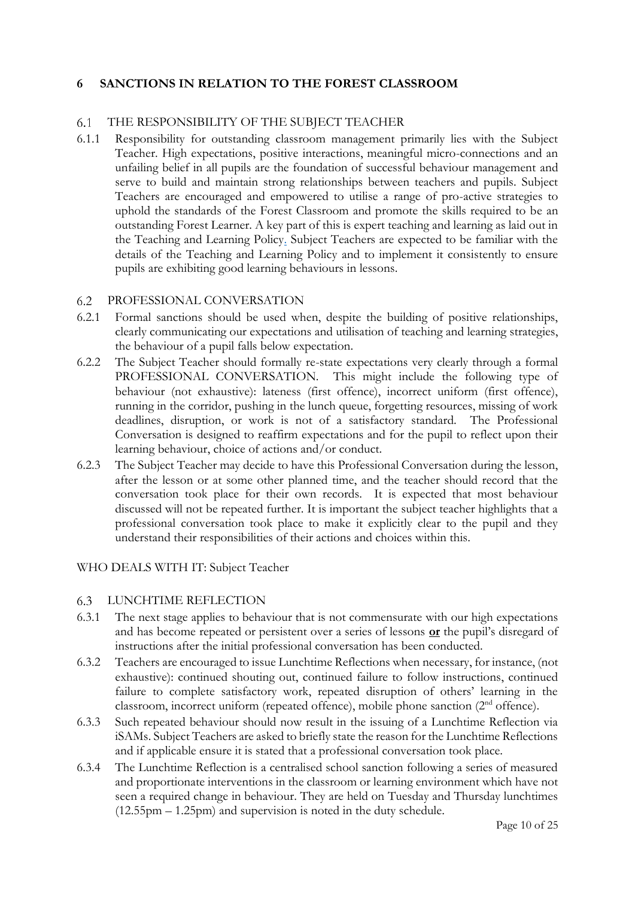## <span id="page-9-0"></span>**6 SANCTIONS IN RELATION TO THE FOREST CLASSROOM**

#### THE RESPONSIBILITY OF THE SUBJECT TEACHER 6.1

6.1.1 Responsibility for outstanding classroom management primarily lies with the Subject Teacher. High expectations, positive interactions, meaningful micro-connections and an unfailing belief in all pupils are the foundation of successful behaviour management and serve to build and maintain strong relationships between teachers and pupils. Subject Teachers are encouraged and empowered to utilise a range of pro-active strategies to uphold the standards of the Forest Classroom and promote the skills required to be an outstanding Forest Learner. A key part of this is expert teaching and learning as laid out in the Teaching and Learning Policy. Subject Teachers are expected to be familiar with the details of the Teaching and Learning Policy and to implement it consistently to ensure pupils are exhibiting good learning behaviours in lessons.

#### $6.2$ PROFESSIONAL CONVERSATION

- 6.2.1 Formal sanctions should be used when, despite the building of positive relationships, clearly communicating our expectations and utilisation of teaching and learning strategies, the behaviour of a pupil falls below expectation.
- 6.2.2 The Subject Teacher should formally re-state expectations very clearly through a formal PROFESSIONAL CONVERSATION. This might include the following type of behaviour (not exhaustive): lateness (first offence), incorrect uniform (first offence), running in the corridor, pushing in the lunch queue, forgetting resources, missing of work deadlines, disruption, or work is not of a satisfactory standard. The Professional Conversation is designed to reaffirm expectations and for the pupil to reflect upon their learning behaviour, choice of actions and/or conduct.
- 6.2.3 The Subject Teacher may decide to have this Professional Conversation during the lesson, after the lesson or at some other planned time, and the teacher should record that the conversation took place for their own records. It is expected that most behaviour discussed will not be repeated further. It is important the subject teacher highlights that a professional conversation took place to make it explicitly clear to the pupil and they understand their responsibilities of their actions and choices within this.

### WHO DEALS WITH IT: Subject Teacher

#### $6.3$ LUNCHTIME REFLECTION

- 6.3.1 The next stage applies to behaviour that is not commensurate with our high expectations and has become repeated or persistent over a series of lessons **or** the pupil's disregard of instructions after the initial professional conversation has been conducted.
- 6.3.2 Teachers are encouraged to issue Lunchtime Reflections when necessary, for instance, (not exhaustive): continued shouting out, continued failure to follow instructions, continued failure to complete satisfactory work, repeated disruption of others' learning in the classroom, incorrect uniform (repeated offence), mobile phone sanction (2nd offence).
- 6.3.3 Such repeated behaviour should now result in the issuing of a Lunchtime Reflection via iSAMs. Subject Teachers are asked to briefly state the reason for the Lunchtime Reflections and if applicable ensure it is stated that a professional conversation took place.
- 6.3.4 The Lunchtime Reflection is a centralised school sanction following a series of measured and proportionate interventions in the classroom or learning environment which have not seen a required change in behaviour. They are held on Tuesday and Thursday lunchtimes (12.55pm – 1.25pm) and supervision is noted in the duty schedule.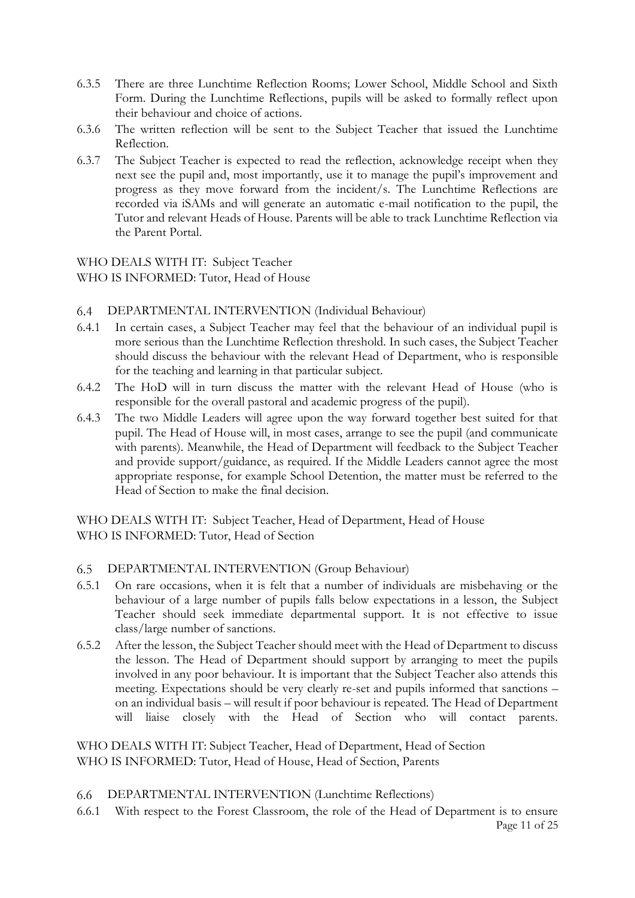- 6.3.5 There are three Lunchtime Reflection Rooms; Lower School, Middle School and Sixth Form. During the Lunchtime Reflections, pupils will be asked to formally reflect upon their behaviour and choice of actions.
- 6.3.6 The written reflection will be sent to the Subject Teacher that issued the Lunchtime Reflection.
- 6.3.7 The Subject Teacher is expected to read the reflection, acknowledge receipt when they next see the pupil and, most importantly, use it to manage the pupil's improvement and progress as they move forward from the incident/s. The Lunchtime Reflections are recorded via iSAMs and will generate an automatic e-mail notification to the pupil, the Tutor and relevant Heads of House. Parents will be able to track Lunchtime Reflection via the Parent Portal.

WHO DEALS WITH IT: Subject Teacher WHO IS INFORMED: Tutor, Head of House

- $6.4$ DEPARTMENTAL INTERVENTION (Individual Behaviour)
- 6.4.1 In certain cases, a Subject Teacher may feel that the behaviour of an individual pupil is more serious than the Lunchtime Reflection threshold. In such cases, the Subject Teacher should discuss the behaviour with the relevant Head of Department, who is responsible for the teaching and learning in that particular subject.
- 6.4.2 The HoD will in turn discuss the matter with the relevant Head of House (who is responsible for the overall pastoral and academic progress of the pupil).
- 6.4.3 The two Middle Leaders will agree upon the way forward together best suited for that pupil. The Head of House will, in most cases, arrange to see the pupil (and communicate with parents). Meanwhile, the Head of Department will feedback to the Subject Teacher and provide support/guidance, as required. If the Middle Leaders cannot agree the most appropriate response, for example School Detention, the matter must be referred to the Head of Section to make the final decision.

WHO DEALS WITH IT: Subject Teacher, Head of Department, Head of House WHO IS INFORMED: Tutor, Head of Section

#### 6.5 DEPARTMENTAL INTERVENTION (Group Behaviour)

- 6.5.1 On rare occasions, when it is felt that a number of individuals are misbehaving or the behaviour of a large number of pupils falls below expectations in a lesson, the Subject Teacher should seek immediate departmental support. It is not effective to issue class/large number of sanctions.
- 6.5.2 After the lesson, the Subject Teacher should meet with the Head of Department to discuss the lesson. The Head of Department should support by arranging to meet the pupils involved in any poor behaviour. It is important that the Subject Teacher also attends this meeting. Expectations should be very clearly re-set and pupils informed that sanctions – on an individual basis – will result if poor behaviour is repeated. The Head of Department will liaise closely with the Head of Section who will contact parents.

WHO DEALS WITH IT: Subject Teacher, Head of Department, Head of Section WHO IS INFORMED: Tutor, Head of House, Head of Section, Parents

- 6.6 DEPARTMENTAL INTERVENTION (Lunchtime Reflections)
- Page 11 of 25 6.6.1 With respect to the Forest Classroom, the role of the Head of Department is to ensure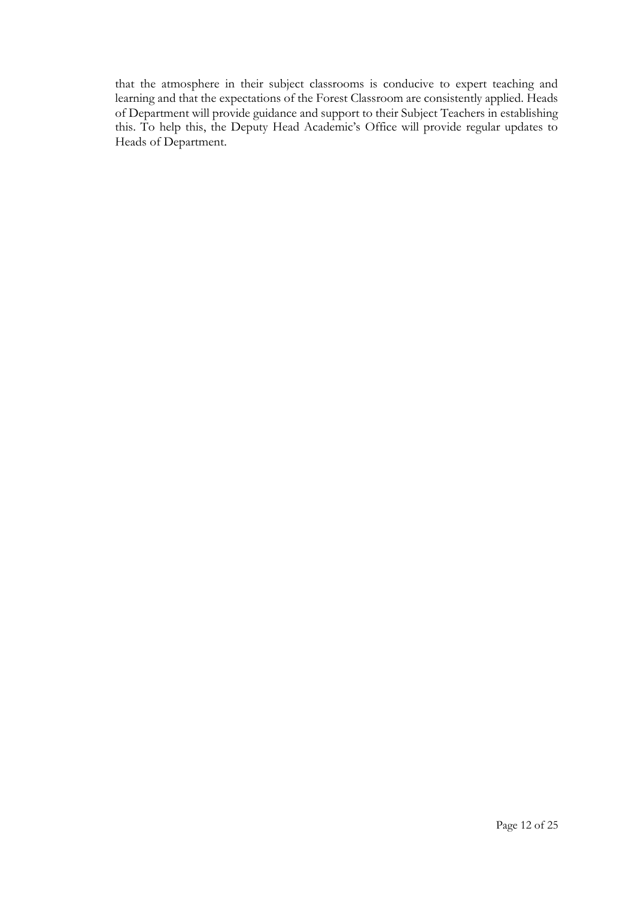that the atmosphere in their subject classrooms is conducive to expert teaching and learning and that the expectations of the Forest Classroom are consistently applied. Heads of Department will provide guidance and support to their Subject Teachers in establishing this. To help this, the Deputy Head Academic's Office will provide regular updates to Heads of Department.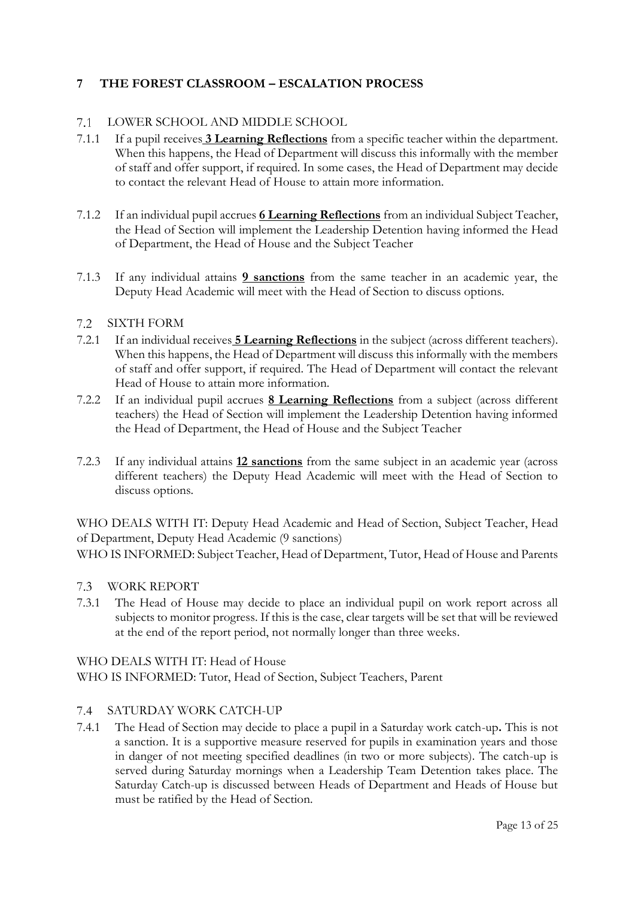## <span id="page-12-0"></span>**7 THE FOREST CLASSROOM – ESCALATION PROCESS**

#### LOWER SCHOOL AND MIDDLE SCHOOL  $7.1$

- 7.1.1 If a pupil receives **3 Learning Reflections** from a specific teacher within the department. When this happens, the Head of Department will discuss this informally with the member of staff and offer support, if required. In some cases, the Head of Department may decide to contact the relevant Head of House to attain more information.
- 7.1.2 If an individual pupil accrues **6 Learning Reflections** from an individual Subject Teacher, the Head of Section will implement the Leadership Detention having informed the Head of Department, the Head of House and the Subject Teacher
- 7.1.3 If any individual attains **9 sanctions** from the same teacher in an academic year, the Deputy Head Academic will meet with the Head of Section to discuss options.

### SIXTH FORM

- 7.2.1 If an individual receives **5 Learning Reflections** in the subject (across different teachers). When this happens, the Head of Department will discuss this informally with the members of staff and offer support, if required. The Head of Department will contact the relevant Head of House to attain more information.
- 7.2.2 If an individual pupil accrues **8 Learning Reflections** from a subject (across different teachers) the Head of Section will implement the Leadership Detention having informed the Head of Department, the Head of House and the Subject Teacher
- 7.2.3 If any individual attains **12 sanctions** from the same subject in an academic year (across different teachers) the Deputy Head Academic will meet with the Head of Section to discuss options.

WHO DEALS WITH IT: Deputy Head Academic and Head of Section, Subject Teacher, Head of Department, Deputy Head Academic (9 sanctions)

WHO IS INFORMED: Subject Teacher, Head of Department, Tutor, Head of House and Parents

#### $7.3$ WORK REPORT

7.3.1 The Head of House may decide to place an individual pupil on work report across all subjects to monitor progress. If this is the case, clear targets will be set that will be reviewed at the end of the report period, not normally longer than three weeks.

### WHO DEALS WITH IT: Head of House

WHO IS INFORMED: Tutor, Head of Section, Subject Teachers, Parent

### SATURDAY WORK CATCH-UP

7.4.1 The Head of Section may decide to place a pupil in a Saturday work catch-up**.** This is not a sanction. It is a supportive measure reserved for pupils in examination years and those in danger of not meeting specified deadlines (in two or more subjects). The catch-up is served during Saturday mornings when a Leadership Team Detention takes place. The Saturday Catch-up is discussed between Heads of Department and Heads of House but must be ratified by the Head of Section.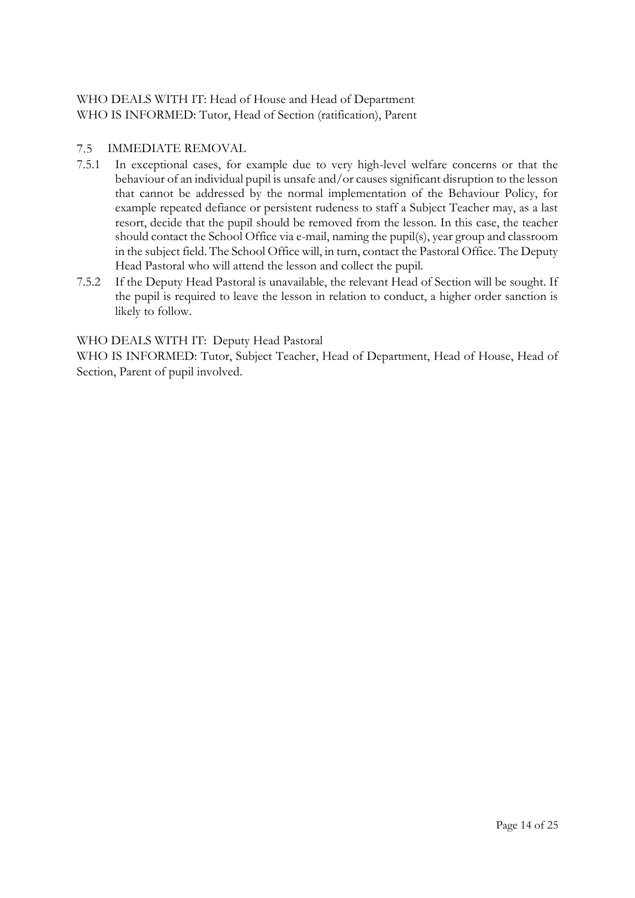## WHO DEALS WITH IT: Head of House and Head of Department WHO IS INFORMED: Tutor, Head of Section (ratification), Parent

#### $7.5$ IMMEDIATE REMOVAL

- 7.5.1 In exceptional cases, for example due to very high-level welfare concerns or that the behaviour of an individual pupil is unsafe and/or causes significant disruption to the lesson that cannot be addressed by the normal implementation of the Behaviour Policy, for example repeated defiance or persistent rudeness to staff a Subject Teacher may, as a last resort, decide that the pupil should be removed from the lesson. In this case, the teacher should contact the School Office via e-mail, naming the pupil(s), year group and classroom in the subject field. The School Office will, in turn, contact the Pastoral Office. The Deputy Head Pastoral who will attend the lesson and collect the pupil.
- 7.5.2 If the Deputy Head Pastoral is unavailable, the relevant Head of Section will be sought. If the pupil is required to leave the lesson in relation to conduct, a higher order sanction is likely to follow.

### WHO DEALS WITH IT: Deputy Head Pastoral

WHO IS INFORMED: Tutor, Subject Teacher, Head of Department, Head of House, Head of Section, Parent of pupil involved.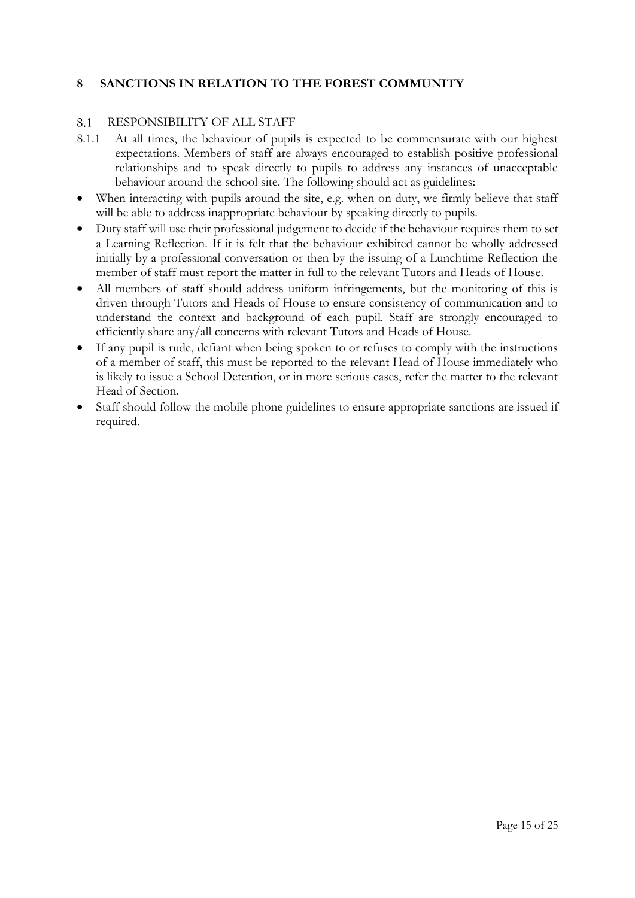## <span id="page-14-0"></span>**8 SANCTIONS IN RELATION TO THE FOREST COMMUNITY**

#### RESPONSIBILITY OF ALL STAFF 8.1

- 8.1.1 At all times, the behaviour of pupils is expected to be commensurate with our highest expectations. Members of staff are always encouraged to establish positive professional relationships and to speak directly to pupils to address any instances of unacceptable behaviour around the school site. The following should act as guidelines:
- When interacting with pupils around the site, e.g. when on duty, we firmly believe that staff will be able to address inappropriate behaviour by speaking directly to pupils.
- Duty staff will use their professional judgement to decide if the behaviour requires them to set a Learning Reflection. If it is felt that the behaviour exhibited cannot be wholly addressed initially by a professional conversation or then by the issuing of a Lunchtime Reflection the member of staff must report the matter in full to the relevant Tutors and Heads of House.
- All members of staff should address uniform infringements, but the monitoring of this is driven through Tutors and Heads of House to ensure consistency of communication and to understand the context and background of each pupil. Staff are strongly encouraged to efficiently share any/all concerns with relevant Tutors and Heads of House.
- If any pupil is rude, defiant when being spoken to or refuses to comply with the instructions of a member of staff, this must be reported to the relevant Head of House immediately who is likely to issue a School Detention, or in more serious cases, refer the matter to the relevant Head of Section.
- Staff should follow the mobile phone guidelines to ensure appropriate sanctions are issued if required.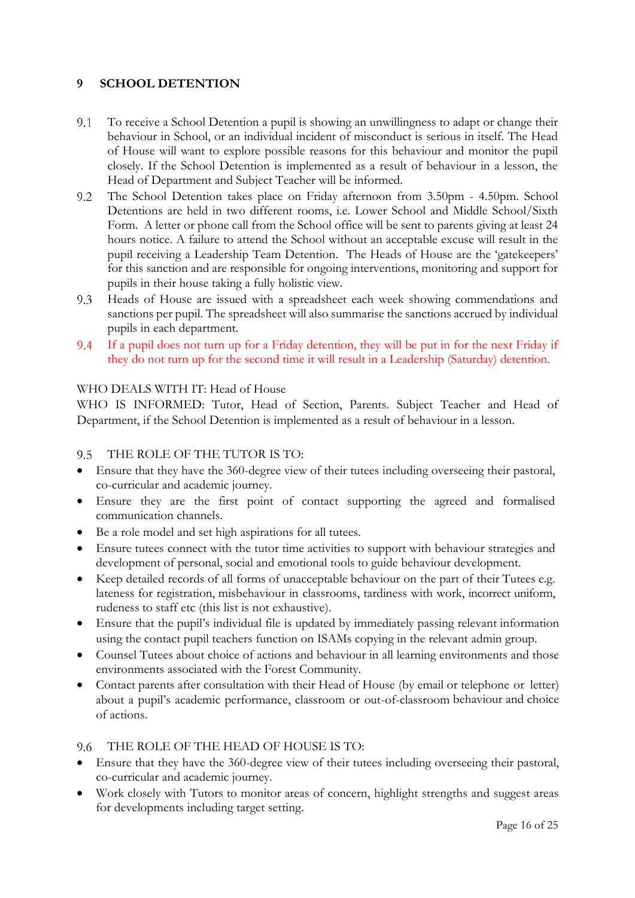## <span id="page-15-0"></span>**9 SCHOOL DETENTION**

- 9.1 To receive a School Detention a pupil is showing an unwillingness to adapt or change their behaviour in School, or an individual incident of misconduct is serious in itself. The Head of House will want to explore possible reasons for this behaviour and monitor the pupil closely. If the School Detention is implemented as a result of behaviour in a lesson, the Head of Department and Subject Teacher will be informed.
- $9.2$ The School Detention takes place on Friday afternoon from 3.50pm - 4.50pm. School Detentions are held in two different rooms, i.e. Lower School and Middle School/Sixth Form. A letter or phone call from the School office will be sent to parents giving at least 24 hours notice. A failure to attend the School without an acceptable excuse will result in the pupil receiving a Leadership Team Detention. The Heads of House are the 'gatekeepers' for this sanction and are responsible for ongoing interventions, monitoring and support for pupils in their house taking a fully holistic view.
- Heads of House are issued with a spreadsheet each week showing commendations and  $9.3$ sanctions per pupil. The spreadsheet will also summarise the sanctions accrued by individual pupils in each department.
- 9.4 If a pupil does not turn up for a Friday detention, they will be put in for the next Friday if they do not turn up for the second time it will result in a Leadership (Saturday) detention.

## WHO DEALS WITH IT: Head of House

WHO IS INFORMED: Tutor, Head of Section, Parents. Subject Teacher and Head of Department, if the School Detention is implemented as a result of behaviour in a lesson.

#### THE ROLE OF THE TUTOR IS TO:  $9.5 -$

- Ensure that they have the 360-degree view of their tutees including overseeing their pastoral, co-curricular and academic journey.
- Ensure they are the first point of contact supporting the agreed and formalised communication channels.
- Be a role model and set high aspirations for all tutees.
- Ensure tutees connect with the tutor time activities to support with behaviour strategies and development of personal, social and emotional tools to guide behaviour development.
- Keep detailed records of all forms of unacceptable behaviour on the part of their Tutees e.g. lateness for registration, misbehaviour in classrooms, tardiness with work, incorrect uniform, rudeness to staff etc (this list is not exhaustive).
- Ensure that the pupil's individual file is updated by immediately passing relevant information using the contact pupil teachers function on ISAMs copying in the relevant admin group.
- Counsel Tutees about choice of actions and behaviour in all learning environments and those environments associated with the Forest Community.
- Contact parents after consultation with their Head of House (by email or telephone or letter) about a pupil's academic performance, classroom or out-of-classroom behaviour and choice of actions.

### THE ROLE OF THE HEAD OF HOUSE IS TO:

- Ensure that they have the 360-degree view of their tutees including overseeing their pastoral, co-curricular and academic journey.
- Work closely with Tutors to monitor areas of concern, highlight strengths and suggest areas for developments including target setting.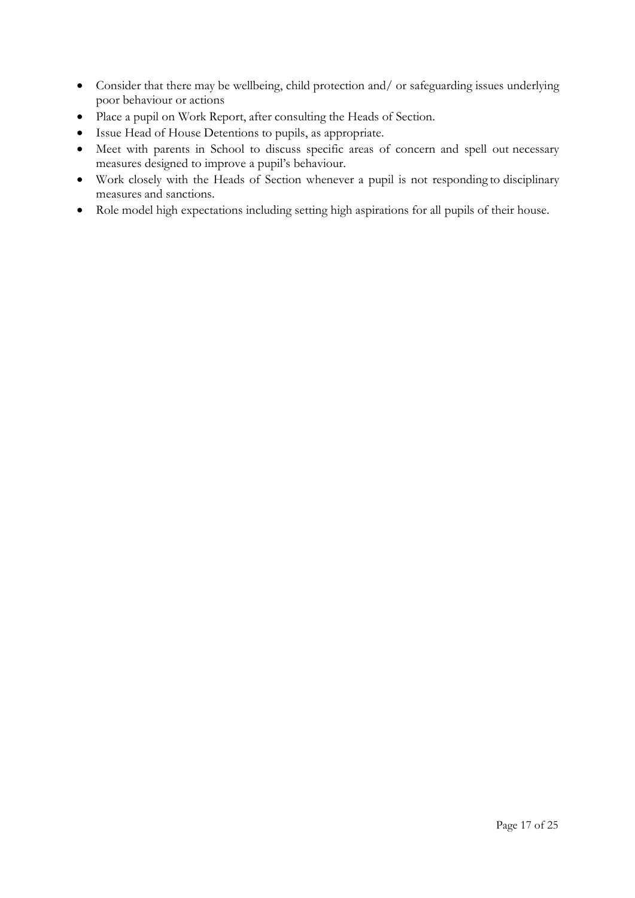- Consider that there may be wellbeing, child protection and/ or safeguarding issues underlying poor behaviour or actions
- Place a pupil on Work Report, after consulting the Heads of Section.
- Issue Head of House Detentions to pupils, as appropriate.
- Meet with parents in School to discuss specific areas of concern and spell out necessary measures designed to improve a pupil's behaviour.
- Work closely with the Heads of Section whenever a pupil is not responding to disciplinary measures and sanctions.
- Role model high expectations including setting high aspirations for all pupils of their house.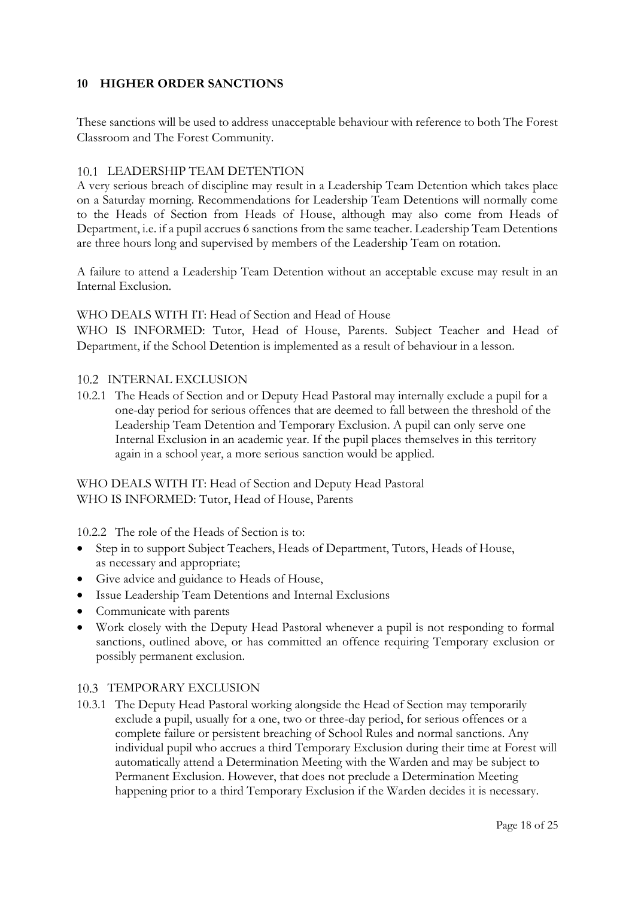## <span id="page-17-0"></span>**10 HIGHER ORDER SANCTIONS**

These sanctions will be used to address unacceptable behaviour with reference to both The Forest Classroom and The Forest Community.

### 10.1 LEADERSHIP TEAM DETENTION

A very serious breach of discipline may result in a Leadership Team Detention which takes place on a Saturday morning. Recommendations for Leadership Team Detentions will normally come to the Heads of Section from Heads of House, although may also come from Heads of Department, i.e. if a pupil accrues 6 sanctions from the same teacher. Leadership Team Detentions are three hours long and supervised by members of the Leadership Team on rotation.

A failure to attend a Leadership Team Detention without an acceptable excuse may result in an Internal Exclusion.

### WHO DEALS WITH IT: Head of Section and Head of House

WHO IS INFORMED: Tutor, Head of House, Parents. Subject Teacher and Head of Department, if the School Detention is implemented as a result of behaviour in a lesson.

## 10.2 INTERNAL EXCLUSION

10.2.1 The Heads of Section and or Deputy Head Pastoral may internally exclude a pupil for a one-day period for serious offences that are deemed to fall between the threshold of the Leadership Team Detention and Temporary Exclusion. A pupil can only serve one Internal Exclusion in an academic year. If the pupil places themselves in this territory again in a school year, a more serious sanction would be applied.

WHO DEALS WITH IT: Head of Section and Deputy Head Pastoral WHO IS INFORMED: Tutor, Head of House, Parents

10.2.2 The role of the Heads of Section is to:

- Step in to support Subject Teachers, Heads of Department, Tutors, Heads of House, as necessary and appropriate;
- Give advice and guidance to Heads of House,
- Issue Leadership Team Detentions and Internal Exclusions
- Communicate with parents
- Work closely with the Deputy Head Pastoral whenever a pupil is not responding to formal sanctions, outlined above, or has committed an offence requiring Temporary exclusion or possibly permanent exclusion.

### 10.3 TEMPORARY EXCLUSION

10.3.1 The Deputy Head Pastoral working alongside the Head of Section may temporarily exclude a pupil, usually for a one, two or three-day period, for serious offences or a complete failure or persistent breaching of School Rules and normal sanctions. Any individual pupil who accrues a third Temporary Exclusion during their time at Forest will automatically attend a Determination Meeting with the Warden and may be subject to Permanent Exclusion. However, that does not preclude a Determination Meeting happening prior to a third Temporary Exclusion if the Warden decides it is necessary.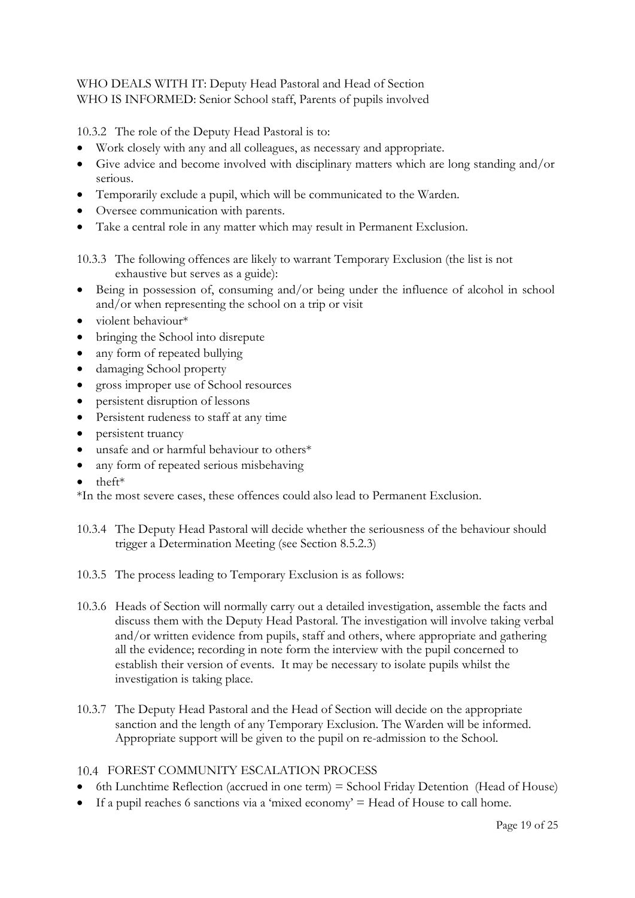## WHO DEALS WITH IT: Deputy Head Pastoral and Head of Section WHO IS INFORMED: Senior School staff, Parents of pupils involved

10.3.2 The role of the Deputy Head Pastoral is to:

- Work closely with any and all colleagues, as necessary and appropriate.
- Give advice and become involved with disciplinary matters which are long standing and/or serious.
- Temporarily exclude a pupil, which will be communicated to the Warden.
- Oversee communication with parents.
- Take a central role in any matter which may result in Permanent Exclusion.

10.3.3 The following offences are likely to warrant Temporary Exclusion (the list is not exhaustive but serves as a guide):

- Being in possession of, consuming and/or being under the influence of alcohol in school and/or when representing the school on a trip or visit
- violent behaviour\*
- bringing the School into disrepute
- any form of repeated bullying
- damaging School property
- gross improper use of School resources
- persistent disruption of lessons
- Persistent rudeness to staff at any time
- persistent truancy
- unsafe and or harmful behaviour to others\*
- any form of repeated serious misbehaving
- theft\*

\*In the most severe cases, these offences could also lead to Permanent Exclusion.

- 10.3.4 The Deputy Head Pastoral will decide whether the seriousness of the behaviour should trigger a Determination Meeting (see Section 8.5.2.3)
- 10.3.5 The process leading to Temporary Exclusion is as follows:
- 10.3.6 Heads of Section will normally carry out a detailed investigation, assemble the facts and discuss them with the Deputy Head Pastoral. The investigation will involve taking verbal and/or written evidence from pupils, staff and others, where appropriate and gathering all the evidence; recording in note form the interview with the pupil concerned to establish their version of events. It may be necessary to isolate pupils whilst the investigation is taking place.
- 10.3.7 The Deputy Head Pastoral and the Head of Section will decide on the appropriate sanction and the length of any Temporary Exclusion. The Warden will be informed. Appropriate support will be given to the pupil on re-admission to the School.

### FOREST COMMUNITY ESCALATION PROCESS

- 6th Lunchtime Reflection (accrued in one term) = School Friday Detention (Head of House)
- If a pupil reaches 6 sanctions via a 'mixed economy'  $=$  Head of House to call home.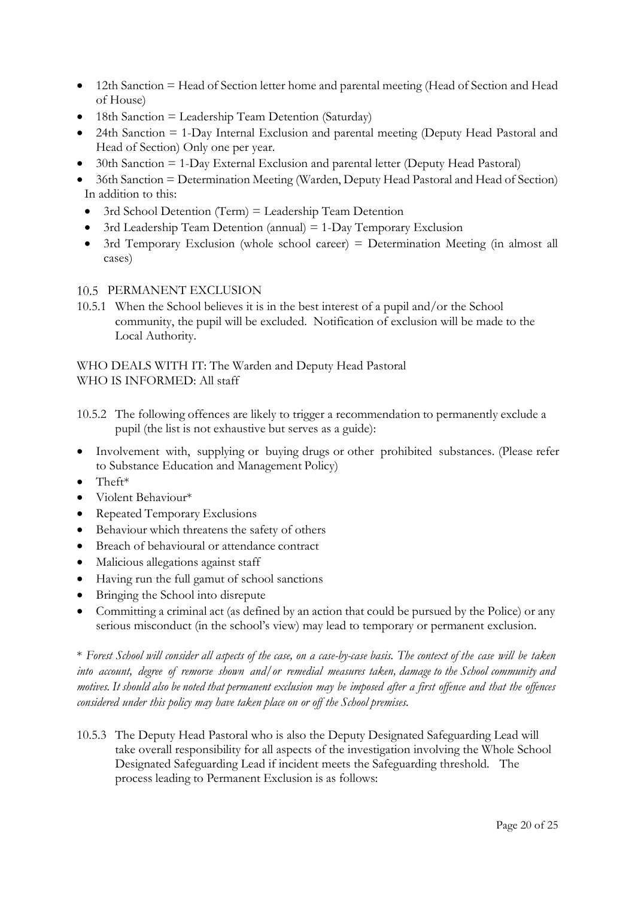- 12th Sanction = Head of Section letter home and parental meeting (Head of Section and Head of House)
- 18th Sanction = Leadership Team Detention (Saturday)
- 24th Sanction = 1-Day Internal Exclusion and parental meeting (Deputy Head Pastoral and Head of Section) Only one per year.
- 30th Sanction  $= 1$ -Day External Exclusion and parental letter (Deputy Head Pastoral)
- 36th Sanction = Determination Meeting (Warden, Deputy Head Pastoral and Head of Section) In addition to this:
- 3rd School Detention (Term) = Leadership Team Detention
- 3rd Leadership Team Detention (annual)  $= 1$ -Day Temporary Exclusion
- 3rd Temporary Exclusion (whole school career) = Determination Meeting (in almost all cases)

## 10.5 PERMANENT EXCLUSION

10.5.1 When the School believes it is in the best interest of a pupil and/or the School community, the pupil will be excluded. Notification of exclusion will be made to the Local Authority.

WHO DEALS WITH IT: The Warden and Deputy Head Pastoral WHO IS INFORMED: All staff

- 10.5.2 The following offences are likely to trigger a recommendation to permanently exclude a pupil (the list is not exhaustive but serves as a guide):
- Involvement with, supplying or buying drugs or other prohibited substances. (Please refer to Substance Education and Management Policy)
- Theft\*
- Violent Behaviour\*
- Repeated Temporary Exclusions
- Behaviour which threatens the safety of others
- Breach of behavioural or attendance contract
- Malicious allegations against staff
- Having run the full gamut of school sanctions
- Bringing the School into disrepute
- Committing a criminal act (as defined by an action that could be pursued by the Police) or any serious misconduct (in the school's view) may lead to temporary or permanent exclusion.

\* Forest School will consider all aspects of the case, on a case-by-case basis. The context of the case will be taken *into account, degree of remorse shown and/or remedial measures taken, damage to the School community and* motives. It should also be noted that permanent exclusion may be imposed after a first offence and that the offences *considered under this policy may have taken place on or off the School premises.*

10.5.3 The Deputy Head Pastoral who is also the Deputy Designated Safeguarding Lead will take overall responsibility for all aspects of the investigation involving the Whole School Designated Safeguarding Lead if incident meets the Safeguarding threshold. The process leading to Permanent Exclusion is as follows: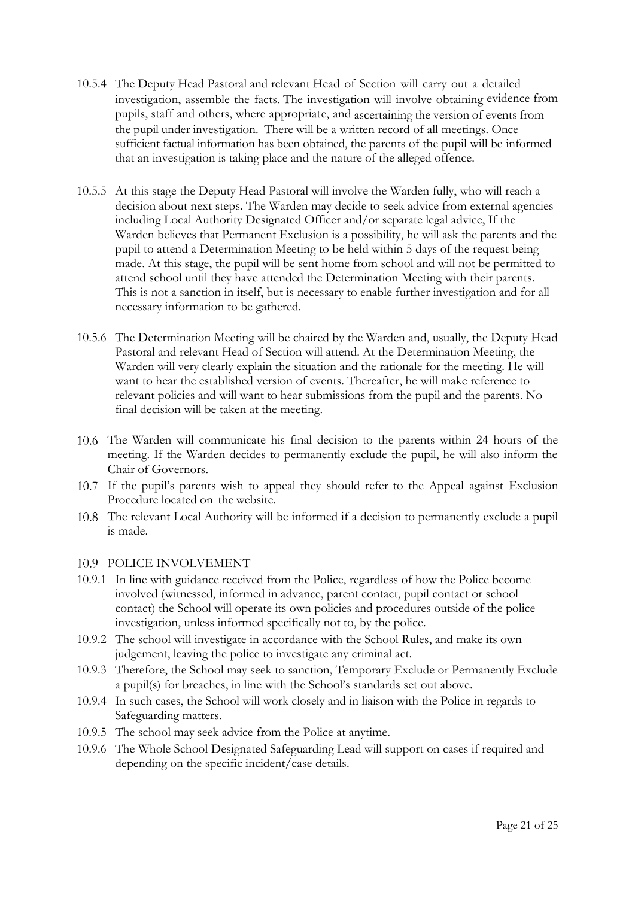- 10.5.4 The Deputy Head Pastoral and relevant Head of Section will carry out a detailed investigation, assemble the facts. The investigation will involve obtaining evidence from pupils, staff and others, where appropriate, and ascertaining the version of events from the pupil under investigation. There will be a written record of all meetings. Once sufficient factual information has been obtained, the parents of the pupil will be informed that an investigation is taking place and the nature of the alleged offence.
- 10.5.5 At this stage the Deputy Head Pastoral will involve the Warden fully, who will reach a decision about next steps. The Warden may decide to seek advice from external agencies including Local Authority Designated Officer and/or separate legal advice, If the Warden believes that Permanent Exclusion is a possibility, he will ask the parents and the pupil to attend a Determination Meeting to be held within 5 days of the request being made. At this stage, the pupil will be sent home from school and will not be permitted to attend school until they have attended the Determination Meeting with their parents. This is not a sanction in itself, but is necessary to enable further investigation and for all necessary information to be gathered.
- 10.5.6 The Determination Meeting will be chaired by the Warden and, usually, the Deputy Head Pastoral and relevant Head of Section will attend. At the Determination Meeting, the Warden will very clearly explain the situation and the rationale for the meeting. He will want to hear the established version of events. Thereafter, he will make reference to relevant policies and will want to hear submissions from the pupil and the parents. No final decision will be taken at the meeting.
- The Warden will communicate his final decision to the parents within 24 hours of the meeting. If the Warden decides to permanently exclude the pupil, he will also inform the Chair of Governors.
- If the pupil's parents wish to appeal they should refer to the Appeal against Exclusion Procedure located on the website.
- The relevant Local Authority will be informed if a decision to permanently exclude a pupil is made.

### 10.9 POLICE INVOLVEMENT

- 10.9.1 In line with guidance received from the Police, regardless of how the Police become involved (witnessed, informed in advance, parent contact, pupil contact or school contact) the School will operate its own policies and procedures outside of the police investigation, unless informed specifically not to, by the police.
- 10.9.2 The school will investigate in accordance with the School Rules, and make its own judgement, leaving the police to investigate any criminal act.
- 10.9.3 Therefore, the School may seek to sanction, Temporary Exclude or Permanently Exclude a pupil(s) for breaches, in line with the School's standards set out above.
- 10.9.4 In such cases, the School will work closely and in liaison with the Police in regards to Safeguarding matters.
- 10.9.5 The school may seek advice from the Police at anytime.
- 10.9.6 The Whole School Designated Safeguarding Lead will support on cases if required and depending on the specific incident/case details.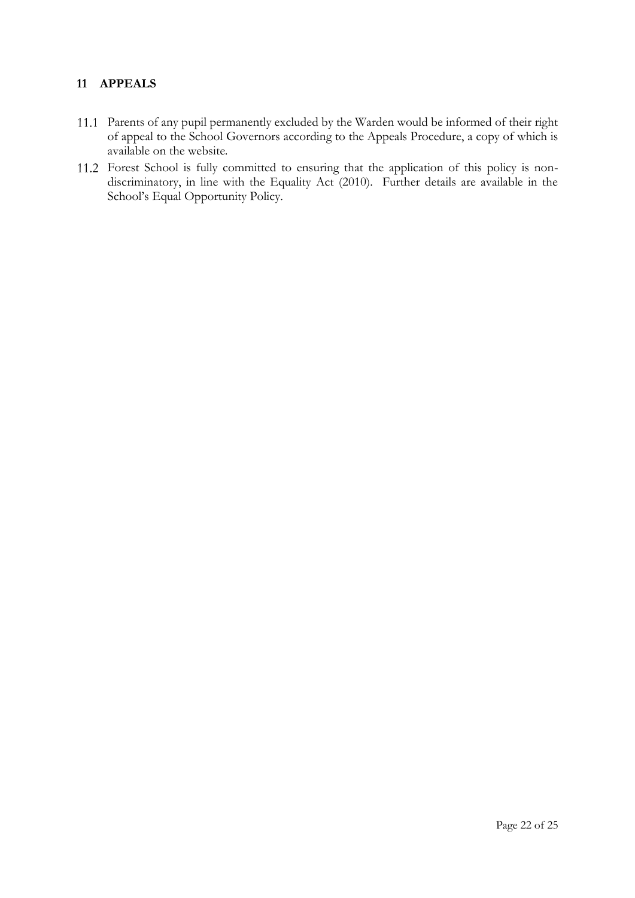## <span id="page-21-0"></span>**11 APPEALS**

- Parents of any pupil permanently excluded by the Warden would be informed of their right of appeal to the School Governors according to the Appeals Procedure, a copy of which is available on the website.
- Forest School is fully committed to ensuring that the application of this policy is nondiscriminatory, in line with the Equality Act (2010). Further details are available in the School's Equal Opportunity Policy.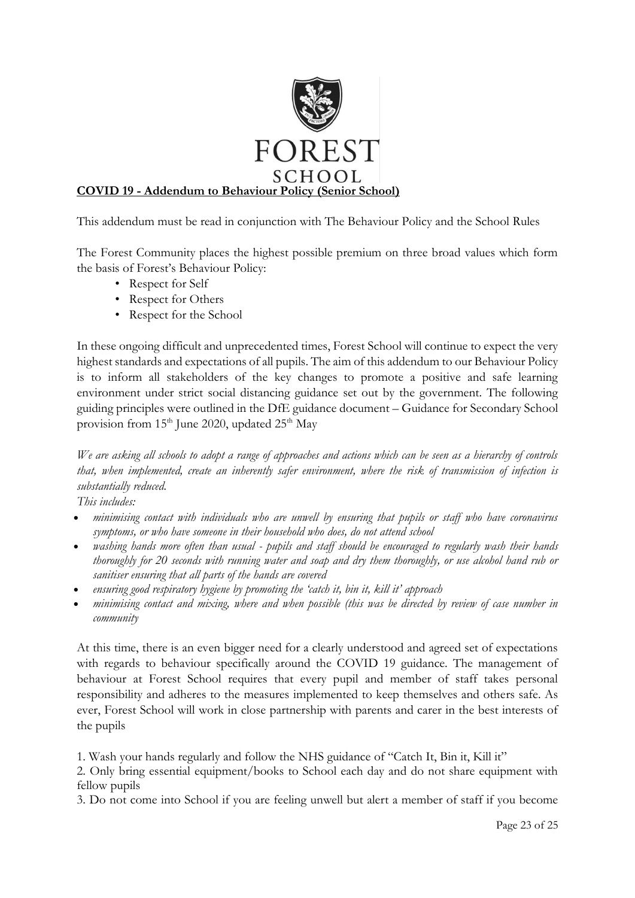

This addendum must be read in conjunction with The Behaviour Policy and the School Rules

The Forest Community places the highest possible premium on three broad values which form the basis of Forest's Behaviour Policy:

- Respect for Self
- Respect for Others
- Respect for the School

In these ongoing difficult and unprecedented times, Forest School will continue to expect the very highest standards and expectations of all pupils. The aim of this addendum to our Behaviour Policy is to inform all stakeholders of the key changes to promote a positive and safe learning environment under strict social distancing guidance set out by the government. The following guiding principles were outlined in the DfE guidance document – Guidance for Secondary School provision from  $15<sup>th</sup>$  June 2020, updated  $25<sup>th</sup>$  May

*We are asking all schools to adopt a range of approaches and actions which can be seen as a hierarchy of controls that, when implemented, create an inherently safer environment, where the risk of transmission of infection is substantially reduced.* 

*This includes:*

- *minimising contact with individuals who are unwell by ensuring that pupils or staff who have coronavirus symptoms, or who have someone in their household who does, do not attend school*
- *washing hands more often than usual - pupils and staff should be encouraged to regularly wash their hands thoroughly for 20 seconds with running water and soap and dry them thoroughly, or use alcohol hand rub or sanitiser ensuring that all parts of the hands are covered*
- *ensuring good respiratory hygiene by promoting the 'catch it, bin it, kill it' approach*
- *minimising contact and mixing, where and when possible (this was be directed by review of case number in community*

At this time, there is an even bigger need for a clearly understood and agreed set of expectations with regards to behaviour specifically around the COVID 19 guidance. The management of behaviour at Forest School requires that every pupil and member of staff takes personal responsibility and adheres to the measures implemented to keep themselves and others safe. As ever, Forest School will work in close partnership with parents and carer in the best interests of the pupils

1. Wash your hands regularly and follow the NHS guidance of "Catch It, Bin it, Kill it"

2. Only bring essential equipment/books to School each day and do not share equipment with fellow pupils

3. Do not come into School if you are feeling unwell but alert a member of staff if you become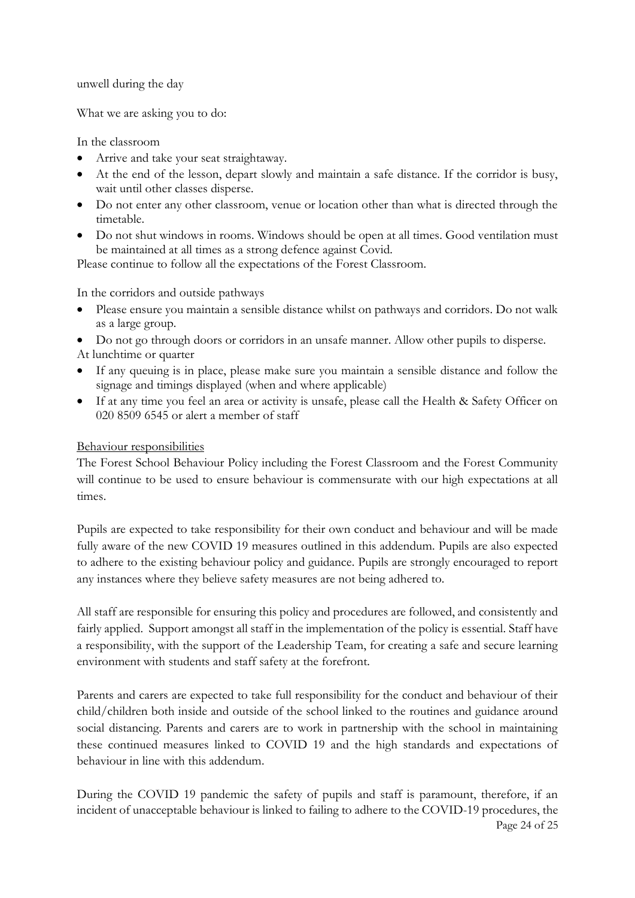unwell during the day

What we are asking you to do:

In the classroom

- Arrive and take your seat straightaway.
- At the end of the lesson, depart slowly and maintain a safe distance. If the corridor is busy, wait until other classes disperse.
- Do not enter any other classroom, venue or location other than what is directed through the timetable.
- Do not shut windows in rooms. Windows should be open at all times. Good ventilation must be maintained at all times as a strong defence against Covid.

Please continue to follow all the expectations of the Forest Classroom.

In the corridors and outside pathways

- Please ensure you maintain a sensible distance whilst on pathways and corridors. Do not walk as a large group.
- Do not go through doors or corridors in an unsafe manner. Allow other pupils to disperse.
- At lunchtime or quarter
- If any queuing is in place, please make sure you maintain a sensible distance and follow the signage and timings displayed (when and where applicable)
- If at any time you feel an area or activity is unsafe, please call the Health & Safety Officer on 020 8509 6545 or alert a member of staff

## Behaviour responsibilities

The Forest School Behaviour Policy including the Forest Classroom and the Forest Community will continue to be used to ensure behaviour is commensurate with our high expectations at all times.

Pupils are expected to take responsibility for their own conduct and behaviour and will be made fully aware of the new COVID 19 measures outlined in this addendum. Pupils are also expected to adhere to the existing behaviour policy and guidance. Pupils are strongly encouraged to report any instances where they believe safety measures are not being adhered to.

All staff are responsible for ensuring this policy and procedures are followed, and consistently and fairly applied. Support amongst all staff in the implementation of the policy is essential. Staff have a responsibility, with the support of the Leadership Team, for creating a safe and secure learning environment with students and staff safety at the forefront.

Parents and carers are expected to take full responsibility for the conduct and behaviour of their child/children both inside and outside of the school linked to the routines and guidance around social distancing. Parents and carers are to work in partnership with the school in maintaining these continued measures linked to COVID 19 and the high standards and expectations of behaviour in line with this addendum.

Page 24 of 25 During the COVID 19 pandemic the safety of pupils and staff is paramount, therefore, if an incident of unacceptable behaviour is linked to failing to adhere to the COVID-19 procedures, the